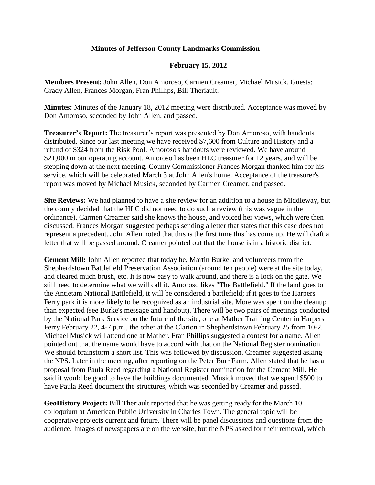## **Minutes of Jefferson County Landmarks Commission**

## **February 15, 2012**

**Members Present:** John Allen, Don Amoroso, Carmen Creamer, Michael Musick. Guests: Grady Allen, Frances Morgan, Fran Phillips, Bill Theriault.

**Minutes:** Minutes of the January 18, 2012 meeting were distributed. Acceptance was moved by Don Amoroso, seconded by John Allen, and passed.

**Treasurer's Report:** The treasurer's report was presented by Don Amoroso, with handouts distributed. Since our last meeting we have received \$7,600 from Culture and History and a refund of \$324 from the Risk Pool. Amoroso's handouts were reviewed. We have around \$21,000 in our operating account. Amoroso has been HLC treasurer for 12 years, and will be stepping down at the next meeting. County Commissioner Frances Morgan thanked him for his service, which will be celebrated March 3 at John Allen's home. Acceptance of the treasurer's report was moved by Michael Musick, seconded by Carmen Creamer, and passed.

**Site Reviews:** We had planned to have a site review for an addition to a house in Middleway, but the county decided that the HLC did not need to do such a review (this was vague in the ordinance). Carmen Creamer said she knows the house, and voiced her views, which were then discussed. Frances Morgan suggested perhaps sending a letter that states that this case does not represent a precedent. John Allen noted that this is the first time this has come up. He will draft a letter that will be passed around. Creamer pointed out that the house is in a historic district.

**Cement Mill:** John Allen reported that today he, Martin Burke, and volunteers from the Shepherdstown Battlefield Preservation Association (around ten people) were at the site today, and cleared much brush, etc. It is now easy to walk around, and there is a lock on the gate. We still need to determine what we will call it. Amoroso likes "The Battlefield." If the land goes to the Antietam National Battlefield, it will be considered a battlefield; if it goes to the Harpers Ferry park it is more likely to be recognized as an industrial site. More was spent on the cleanup than expected (see Burke's message and handout). There will be two pairs of meetings conducted by the National Park Service on the future of the site, one at Mather Training Center in Harpers Ferry February 22, 4-7 p.m., the other at the Clarion in Shepherdstown February 25 from 10-2. Michael Musick will attend one at Mather. Fran Phillips suggested a contest for a name. Allen pointed out that the name would have to accord with that on the National Register nomination. We should brainstorm a short list. This was followed by discussion. Creamer suggested asking the NPS. Later in the meeting, after reporting on the Peter Burr Farm, Allen stated that he has a proposal from Paula Reed regarding a National Register nomination for the Cement Mill. He said it would be good to have the buildings documented. Musick moved that we spend \$500 to have Paula Reed document the structures, which was seconded by Creamer and passed.

**GeoHistory Project:** Bill Theriault reported that he was getting ready for the March 10 colloquium at American Public University in Charles Town. The general topic will be cooperative projects current and future. There will be panel discussions and questions from the audience. Images of newspapers are on the website, but the NPS asked for their removal, which